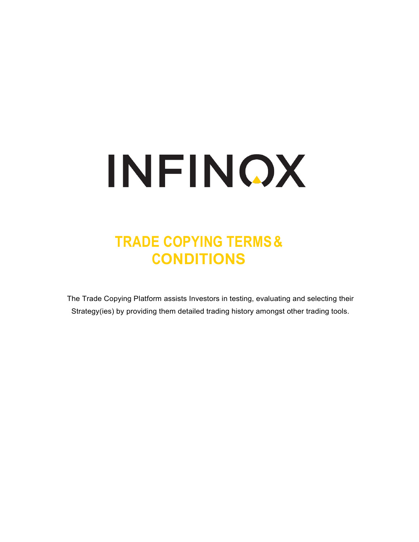# INFINOX

# **TRADE COPYING TERMS& CONDITIONS**

The Trade Copying Platform assists Investors in testing, evaluating and selecting their Strategy(ies) by providing them detailed trading history amongst other trading tools.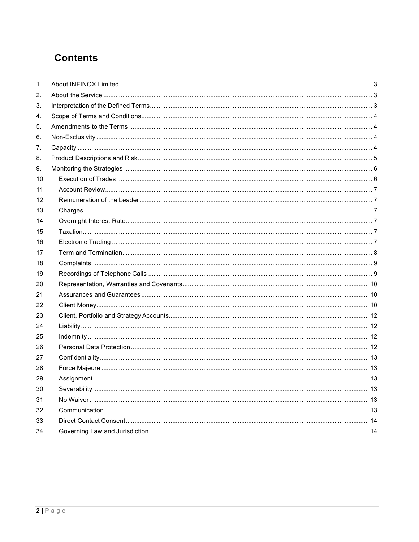# **Contents**

| 1.  |  |
|-----|--|
| 2.  |  |
| 3.  |  |
| 4.  |  |
| 5.  |  |
| 6.  |  |
| 7.  |  |
| 8.  |  |
| 9.  |  |
| 10. |  |
| 11. |  |
| 12. |  |
| 13. |  |
| 14. |  |
| 15. |  |
| 16. |  |
| 17. |  |
| 18. |  |
| 19. |  |
| 20. |  |
| 21. |  |
| 22. |  |
| 23. |  |
| 24. |  |
| 25. |  |
| 26. |  |
| 27. |  |
| 28. |  |
| 29. |  |
| 30. |  |
| 31. |  |
| 32. |  |
| 33. |  |
| 34. |  |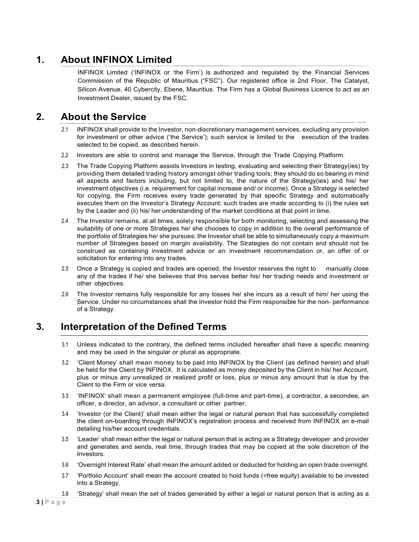# <span id="page-2-0"></span>**1. About INFINOX Limited**

INFINOX Limited ('INFINOX or 'the Firm') is authorized and regulated by the Financial Services Commission of the Republic of Mauritius ("FSC"). Our registered office is 2nd Floor, The Catalyst, Silicon Avenue, 40 Cybercity, Ebene, Mauritius. The Firm has a Global Business Licence to act as an Investment Dealer, issued by the FSC.

#### <span id="page-2-1"></span>**2. About the Service**

- 2.1 INFINOX shall provide to the Investor, non-discretionary management services, excluding any provision for investment or other advice ('the Service'); such service is limited to the execution of the trades selected to be copied, as described herein.
- 2.2 Investors are able to control and manage the Service, through the Trade Copying Platform.
- 2.3 The Trade Copying Platform assists Investors in testing, evaluating and selecting their Strategy(ies) by providing them detailed trading history amongst other trading tools; they should do so bearing in mind all aspects and factors including, but not limited to, the nature of the Strategy(ies) and his/ her investment objectives (i.e. requirement for capital increase and/ or income). Once a Strategy is selected for copying, the Firm receives every trade generated by that specific Strategy and automatically executes them on the Investor's Strategy Account; such trades are made according to (i) the rules set by the Leader and (ii) his/ her understanding of the market conditions at that point in time.
- 2.4 The Investor remains, at all times, solely responsible for both monitoring, selecting and assessing the suitability of one or more Strategies he/ she chooses to copy in addition to the overall performance of the portfolio of Strategies he/ she pursues; the Investor shall be able to simultaneously copy a maximum number of Strategies based on margin availability. The Strategies do not contain and should not be construed as containing investment advice or an investment recommendation or, an offer of or solicitation for entering into any trades.
- 2.5 Once a Strategy is copied and trades are opened, the Investor reserves the right to manually close any of the trades if he/ she believes that this serves better his/ her trading needs and investment or other objectives.
- 2.6 The Investor remains fully responsible for any losses he/ she incurs as a result of him/ her using the Service. Under no circumstances shall the Investor hold the Firm responsible for the non- performance of a Strategy.

# <span id="page-2-2"></span>**3. Interpretation of the Defined Terms**

- 3.1 Unless indicated to the contrary, the defined terms included hereafter shall have a specific meaning and may be used in the singular or plural as appropriate.
- 3.2 'Client Money' shall mean money to be paid into INFINOX by the Client (as defined herein) and shall be held for the Client by INFINOX. It is calculated as money deposited by the Client in his/ her Account, plus or minus any unrealized or realized profit or loss, plus or minus any amount that is due by the Client to the Firm or vice versa.
- 3.3 'INFINOX' shall mean a permanent employee (full-time and part-time), a contractor, a secondee, an officer, a director, an advisor, a consultant or other partner.
- 3.4 'Investor (or the Client)' shall mean either the legal or natural person that has successfully completed the client on-boarding through INFINOX's registration process and received from INFINOX an e-mail detailing his/her account credentials.
- 3.5 'Leader' shall mean either the legal or natural person that is acting as a Strategy developer and provider and generates and sends, real time, through trades that may be copied at the sole discretion of the Investors.
- 3.6 'Overnight Interest Rate' shall mean the amount added or deducted for holding an open trade overnight.
- 3.7 'Portfolio Account' shall mean the account created to hold funds (=free equity) available to be invested into a Strategy.
- 3.8 'Strategy' shall mean the set of trades generated by either a legal or natural person that is acting as a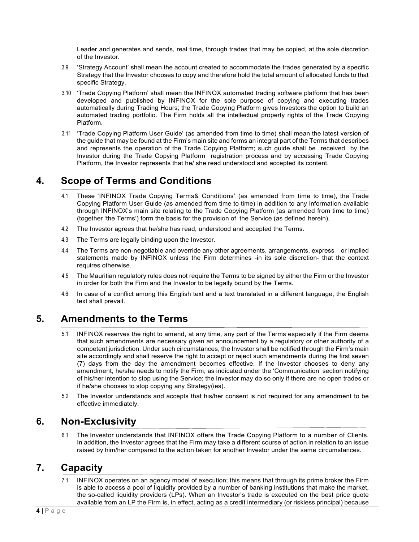Leader and generates and sends, real time, through trades that may be copied, at the sole discretion of the Investor.

- 3.9 'Strategy Account' shall mean the account created to accommodate the trades generated by a specific Strategy that the Investor chooses to copy and therefore hold the total amount of allocated funds to that specific Strategy.
- 3.10 'Trade Copying Platform' shall mean the INFINOX automated trading software platform that has been developed and published by INFINOX for the sole purpose of copying and executing trades automatically during Trading Hours; the Trade Copying Platform gives Investors the option to build an automated trading portfolio. The Firm holds all the intellectual property rights of the Trade Copying Platform.
- 3.11 'Trade Copying Platform User Guide' (as amended from time to time) shall mean the latest version of the guide that may be found at the Firm's main site and forms an integral part of the Terms that describes and represents the operation of the Trade Copying Platform; such guide shall be received by the Investor during the Trade Copying Platform registration process and by accessing Trade Copying Platform, the Investor represents that he/ she read understood and accepted its content.

# <span id="page-3-0"></span>**4. Scope of Terms and Conditions**

- 4.1 These 'INFINOX Trade Copying Terms& Conditions' (as amended from time to time), the Trade Copying Platform User Guide (as amended from time to time) in addition to any information available through INFINOX's main site relating to the Trade Copying Platform (as amended from time to time) (together 'the Terms') form the basis for the provision of the Service (as defined herein).
- 4.2 The Investor agrees that he/she has read, understood and accepted the Terms.
- 4.3 The Terms are legally binding upon the Investor.
- 4.4 The Terms are non-negotiable and override any other agreements, arrangements, express or implied statements made by INFINOX unless the Firm determines -in its sole discretion- that the context requires otherwise.
- 4.5 The Mauritian regulatory rules does not require the Terms to be signed by either the Firm or the Investor in order for both the Firm and the Investor to be legally bound by the Terms.
- 4.6 In case of a conflict among this English text and a text translated in a different language, the English text shall prevail.

# <span id="page-3-1"></span>**5. Amendments to the Terms**

- 5.1 INFINOX reserves the right to amend, at any time, any part of the Terms especially if the Firm deems that such amendments are necessary given an announcement by a regulatory or other authority of a competent jurisdiction. Under such circumstances, the Investor shall be notified through the Firm's main site accordingly and shall reserve the right to accept or reject such amendments during the first seven (7) days from the day the amendment becomes effective. If the Investor chooses to deny any amendment, he/she needs to notify the Firm, as indicated under the 'Communication' section notifying of his/her intention to stop using the Service; the Investor may do so only if there are no open trades or if he/she chooses to stop copying any Strategy(ies).
- 5.2 The Investor understands and accepts that his/her consent is not required for any amendment to be effective immediately.

#### <span id="page-3-2"></span>**6. Non-Exclusivity**

6.1 The Investor understands that INFINOX offers the Trade Copying Platform to a number of Clients. In addition, the Investor agrees that the Firm may take a different course of action in relation to an issue raised by him/her compared to the action taken for another Investor under the same circumstances.

#### <span id="page-3-3"></span>**7. Capacity**

7.1 INFINOX operates on an agency model of execution; this means that through its prime broker the Firm is able to access a pool of liquidity provided by a number of banking institutions that make the market, the so-called liquidity providers (LPs). When an Investor's trade is executed on the best price quote available from an LP the Firm is, in effect, acting as a credit intermediary (or riskless principal) because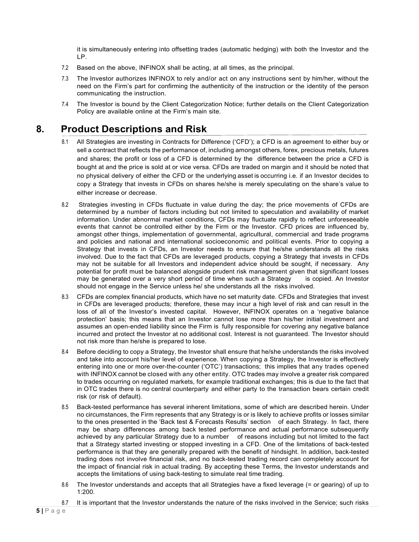it is simultaneously entering into offsetting trades (automatic hedging) with both the Investor and the LP.

- 7.2 Based on the above, INFINOX shall be acting, at all times, as the principal.
- 7.3 The Investor authorizes INFINOX to rely and/or act on any instructions sent by him/her, without the need on the Firm's part for confirming the authenticity of the instruction or the identity of the person communicating the instruction.
- 7.4 The Investor is bound by the Client Categorization Notice; further details on the Client Categorization Policy are available online at the Firm's main site.

#### <span id="page-4-0"></span>**8. Product Descriptions and Risk**

- 8.1 All Strategies are investing in Contracts for Difference ('CFD'); a CFD is an agreement to either buy or sell a contract that reflects the performance of, including amongst others, forex, precious metals, futures and shares; the profit or loss of a CFD is determined by the difference between the price a CFD is bought at and the price is sold at or vice versa. CFDs are traded on margin and it should be noted that no physical delivery of either the CFD or the underlying asset is occurring i.e. if an Investor decides to copy a Strategy that invests in CFDs on shares he/she is merely speculating on the share's value to either increase or decrease.
- 8.2 Strategies investing in CFDs fluctuate in value during the day; the price movements of CFDs are determined by a number of factors including but not limited to speculation and availability of market information. Under abnormal market conditions, CFDs may fluctuate rapidly to reflect unforeseeable events that cannot be controlled either by the Firm or the Investor. CFD prices are influenced by, amongst other things, implementation of governmental, agricultural, commercial and trade programs and policies and national and international socioeconomic and political events. Prior to copying a Strategy that invests in CFDs, an Investor needs to ensure that he/she understands all the risks involved. Due to the fact that CFDs are leveraged products, copying a Strategy that invests in CFDs may not be suitable for all Investors and independent advice should be sought, if necessary. Any potential for profit must be balanced alongside prudent risk management given that significant losses may be generated over a very short period of time when such a Strategy is copied. An Investor may be generated over a very short period of time when such a Strategy should not engage in the Service unless he/ she understands all the risks involved.
- 8.3 CFDs are complex financial products, which have no set maturity date. CFDs and Strategies that invest in CFDs are leveraged products; therefore, these may incur a high level of risk and can result in the loss of all of the Investor's invested capital. However, INFINOX operates on a 'negative balance protection' basis; this means that an Investor cannot lose more than his/her initial investment and assumes an open-ended liability since the Firm is fully responsible for covering any negative balance incurred and protect the Investor at no additional cost. Interest is not guaranteed. The Investor should not risk more than he/she is prepared to lose.
- 8.4 Before deciding to copy a Strategy, the Investor shall ensure that he/she understands the risks involved and take into account his/her level of experience. When copying a Strategy, the Investor is effectively entering into one or more over-the-counter ('OTC') transactions; this implies that any trades opened with INFINOX cannot be closed with any other entity. OTC trades may involve a greater risk compared to trades occurring on regulated markets, for example traditional exchanges; this is due to the fact that in OTC trades there is no central counterparty and either party to the transaction bears certain credit risk (or risk of default).
- 8.5 Back-tested performance has several inherent limitations, some of which are described herein. Under no circumstances, the Firm represents that any Strategy is or is likely to achieve profits or losses similar to the ones presented in the 'Back test & Forecasts Results' section of each Strategy. In fact, there may be sharp differences among back tested performance and actual performance subsequently achieved by any particular Strategy due to a number of reasons including but not limited to the fact that a Strategy started investing or stopped investing in a CFD. One of the limitations of back-tested performance is that they are generally prepared with the benefit of hindsight. In addition, back-tested trading does not involve financial risk, and no back-tested trading record can completely account for the impact of financial risk in actual trading. By accepting these Terms, the Investor understands and accepts the limitations of using back-testing to simulate real time trading.
- 8.6 The Investor understands and accepts that all Strategies have a fixed leverage (= or gearing) of up to 1:200.
- 8.7 It is important that the Investor understands the nature of the risks involved in the Service; such risks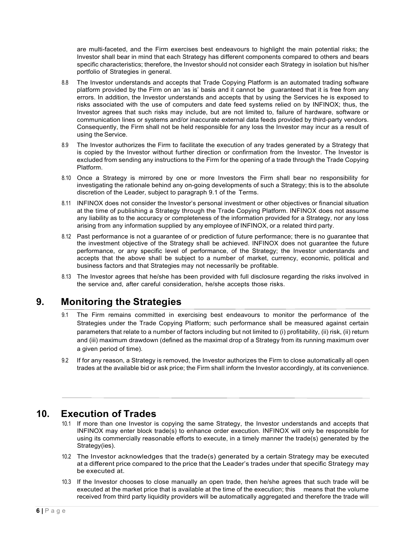are multi-faceted, and the Firm exercises best endeavours to highlight the main potential risks; the Investor shall bear in mind that each Strategy has different components compared to others and bears specific characteristics; therefore, the Investor should not consider each Strategy in isolation but his/her portfolio of Strategies in general.

- 8.8 The Investor understands and accepts that Trade Copying Platform is an automated trading software platform provided by the Firm on an 'as is' basis and it cannot be guaranteed that it is free from any errors. In addition, the Investor understands and accepts that by using the Services he is exposed to risks associated with the use of computers and date feed systems relied on by INFINOX; thus, the Investor agrees that such risks may include, but are not limited to, failure of hardware, software or communication lines or systems and/or inaccurate external data feeds provided by third-party vendors. Consequently, the Firm shall not be held responsible for any loss the Investor may incur as a result of using the Service.
- 8.9 The Investor authorizes the Firm to facilitate the execution of any trades generated by a Strategy that is copied by the Investor without further direction or confirmation from the Investor. The Investor is excluded from sending any instructions to the Firm for the opening of a trade through the Trade Copying Platform.
- 8.10 Once a Strategy is mirrored by one or more Investors the Firm shall bear no responsibility for investigating the rationale behind any on-going developments of such a Strategy; this is to the absolute discretion of the Leader, subject to paragraph 9.1 of the Terms.
- 8.11 INFINOX does not consider the Investor's personal investment or other objectives or financial situation at the time of publishing a Strategy through the Trade Copying Platform. INFINOX does not assume any liability as to the accuracy or completeness of the information provided for a Strategy, nor any loss arising from any information supplied by any employee of INFINOX, or a related third party.
- 8.12 Past performance is not a guarantee of or prediction of future performance; there is no guarantee that the investment objective of the Strategy shall be achieved. INFINOX does not guarantee the future performance, or any specific level of performance, of the Strategy; the Investor understands and accepts that the above shall be subject to a number of market, currency, economic, political and business factors and that Strategies may not necessarily be profitable.
- 8.13 The Investor agrees that he/she has been provided with full disclosure regarding the risks involved in the service and, after careful consideration, he/she accepts those risks.

#### <span id="page-5-0"></span>**9. Monitoring the Strategies**

- 9.1 The Firm remains committed in exercising best endeavours to monitor the performance of the Strategies under the Trade Copying Platform; such performance shall be measured against certain parameters that relate to a number of factors including but not limited to (i) profitability, (ii) risk, (ii) return and (iii) maximum drawdown (defined as the maximal drop of a Strategy from its running maximum over a given period of time).
- 9.2 If for any reason, a Strategy is removed, the Investor authorizes the Firm to close automatically all open trades at the available bid or ask price; the Firm shall inform the Investor accordingly, at its convenience.

#### <span id="page-5-1"></span>**10. Execution of Trades**

- 10.1 If more than one Investor is copying the same Strategy, the Investor understands and accepts that INFINOX may enter block trade(s) to enhance order execution. INFINOX will only be responsible for using its commercially reasonable efforts to execute, in a timely manner the trade(s) generated by the Strategy(ies).
- 10.2 The Investor acknowledges that the trade(s) generated by a certain Strategy may be executed at a different price compared to the price that the Leader's trades under that specific Strategy may be executed at.
- 10.3 If the Investor chooses to close manually an open trade, then he/she agrees that such trade will be executed at the market price that is available at the time of the execution; this means that the volume received from third party liquidity providers will be automatically aggregated and therefore the trade will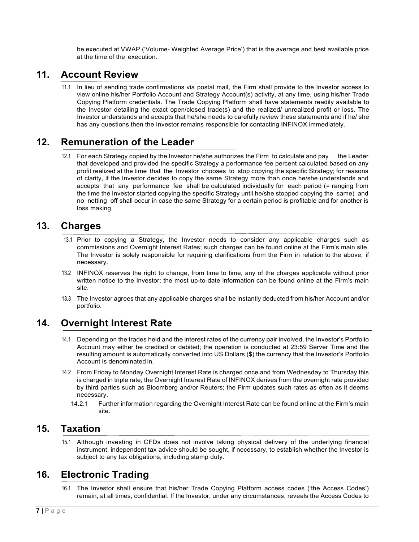be executed at VWAP ('Volume- Weighted Average Price') that is the average and best available price at the time of the execution.

#### <span id="page-6-0"></span>**11. Account Review**

11.1 In lieu of sending trade confirmations via postal mail, the Firm shall provide to the Investor access to view online his/her Portfolio Account and Strategy Account(s) activity, at any time, using his/her Trade Copying Platform credentials. The Trade Copying Platform shall have statements readily available to the Investor detailing the exact open/closed trade(s) and the realized/ unrealized profit or loss. The Investor understands and accepts that he/she needs to carefully review these statements and if he/ she has any questions then the Investor remains responsible for contacting INFINOX immediately.

#### <span id="page-6-1"></span>**12. Remuneration of the Leader**

12.1 For each Strategy copied by the Investor he/she authorizes the Firm to calculate and pay the Leader that developed and provided the specific Strategy a performance fee percent calculated based on any profit realized at the time that the Investor chooses to stop copying the specific Strategy; for reasons of clarity, if the Investor decides to copy the same Strategy more than once he/she understands and accepts that any performance fee shall be calculated individually for each period (= ranging from the time the Investor started copying the specific Strategy until he/she stopped copying the same) and no netting off shall occur in case the same Strategy for a certain period is profitable and for another is loss making.

#### <span id="page-6-2"></span>**13. Charges**

- 13.1 Prior to copying a Strategy, the Investor needs to consider any applicable charges such as commissions and Overnight Interest Rates; such charges can be found online at the Firm's main site. The Investor is solely responsible for requiring clarifications from the Firm in relation to the above, if necessary.
- 13.2 INFINOX reserves the right to change, from time to time, any of the charges applicable without prior written notice to the Investor; the most up-to-date information can be found online at the Firm's main site.
- 13.3 The Investor agrees that any applicable charges shall be instantly deducted from his/her Account and/or portfolio.

#### <span id="page-6-3"></span>**14. Overnight Interest Rate**

- 14.1 Depending on the trades held and the interest rates of the currency pair involved, the Investor's Portfolio Account may either be credited or debited; the operation is conducted at 23:59 Server Time and the resulting amount is automatically converted into US Dollars (\$) the currency that the Investor's Portfolio Account is denominated in.
- 14.2 From Friday to Monday Overnight Interest Rate is charged once and from Wednesday to Thursday this is charged in triple rate; the Overnight Interest Rate of INFINOX derives from the overnight rate provided by third parties such as Bloomberg and/or Reuters; the Firm updates such rates as often as it deems necessary.
	- 14.2.1 Further information regarding the Overnight Interest Rate can be found online at the Firm's main site.

#### <span id="page-6-4"></span>**15. Taxation**

15.1 Although investing in CFDs does not involve taking physical delivery of the underlying financial instrument, independent tax advice should be sought, if necessary, to establish whether the Investor is subject to any tax obligations, including stamp duty.

#### <span id="page-6-5"></span>**16. Electronic Trading**

16.1 The Investor shall ensure that his/her Trade Copying Platform access codes ('the Access Codes') remain, at all times, confidential. If the Investor, under any circumstances, reveals the Access Codes to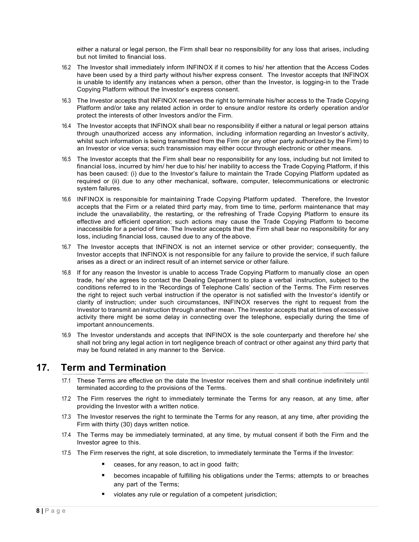either a natural or legal person, the Firm shall bear no responsibility for any loss that arises, including but not limited to financial loss.

- 16.2 The Investor shall immediately inform INFINOX if it comes to his/ her attention that the Access Codes have been used by a third party without his/her express consent. The Investor accepts that INFINOX is unable to identify any instances when a person, other than the Investor, is logging-in to the Trade Copying Platform without the Investor's express consent.
- 16.3 The Investor accepts that INFINOX reserves the right to terminate his/her access to the Trade Copying Platform and/or take any related action in order to ensure and/or restore its orderly operation and/or protect the interests of other Investors and/or the Firm.
- 16.4 The Investor accepts that INFINOX shall bear no responsibility if either a natural or legal person attains through unauthorized access any information, including information regarding an Investor's activity, whilst such information is being transmitted from the Firm (or any other party authorized by the Firm) to an Investor or vice versa; such transmission may either occur through electronic or other means.
- 16.5 The Investor accepts that the Firm shall bear no responsibility for any loss, including but not limited to financial loss, incurred by him/ her due to his/ her inability to access the Trade Copying Platform, if this has been caused: (i) due to the Investor's failure to maintain the Trade Copying Platform updated as required or (ii) due to any other mechanical, software, computer, telecommunications or electronic system failures.
- 16.6 INFINOX is responsible for maintaining Trade Copying Platform updated. Therefore, the Investor accepts that the Firm or a related third party may, from time to time, perform maintenance that may include the unavailability, the restarting, or the refreshing of Trade Copying Platform to ensure its effective and efficient operation; such actions may cause the Trade Copying Platform to become inaccessible for a period of time. The Investor accepts that the Firm shall bear no responsibility for any loss, including financial loss, caused due to any of the above.
- 16.7 The Investor accepts that INFINOX is not an internet service or other provider; consequently, the Investor accepts that INFINOX is not responsible for any failure to provide the service, if such failure arises as a direct or an indirect result of an internet service or other failure.
- 16.8 If for any reason the Investor is unable to access Trade Copying Platform to manually close an open trade, he/ she agrees to contact the Dealing Department to place a verbal instruction, subject to the conditions referred to in the 'Recordings of Telephone Calls' section of the Terms. The Firm reserves the right to reject such verbal instruction if the operator is not satisfied with the Investor's identify or clarity of instruction; under such circumstances, INFINOX reserves the right to request from the Investor to transmit an instruction through another mean. The Investor accepts that at times of excessive activity there might be some delay in connecting over the telephone, especially during the time of important announcements.
- 16.9 The Investor understands and accepts that INFINOX is the sole counterparty and therefore he/ she shall not bring any legal action in tort negligence breach of contract or other against any third party that may be found related in any manner to the Service.

#### <span id="page-7-0"></span>**17. Term and Termination**

- 17.1 These Terms are effective on the date the Investor receives them and shall continue indefinitely until terminated according to the provisions of the Terms.
- 17.2 The Firm reserves the right to immediately terminate the Terms for any reason, at any time, after providing the Investor with a written notice.
- 17.3 The Investor reserves the right to terminate the Terms for any reason, at any time, after providing the Firm with thirty (30) days written notice.
- 17.4 The Terms may be immediately terminated, at any time, by mutual consent if both the Firm and the Investor agree to this.
- 17.5 The Firm reserves the right, at sole discretion, to immediately terminate the Terms if the Investor:
	- ceases, for any reason, to act in good faith;
	- becomes incapable of fulfilling his obligations under the Terms; attempts to or breaches any part of the Terms;
	- violates any rule or regulation of a competent jurisdiction;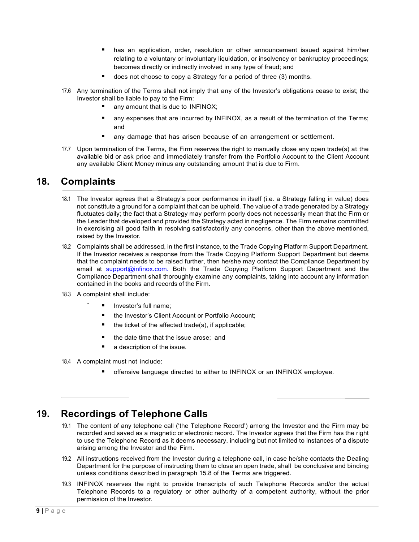- **has an application, order, resolution or other announcement issued against him/her** relating to a voluntary or involuntary liquidation, or insolvency or bankruptcy proceedings; becomes directly or indirectly involved in any type of fraud; and
- does not choose to copy a Strategy for a period of three (3) months.
- 17.6 Any termination of the Terms shall not imply that any of the Investor's obligations cease to exist; the Investor shall be liable to pay to the Firm:
	- any amount that is due to INFINOX:
	- **EXCOM** any expenses that are incurred by INFINOX, as a result of the termination of the Terms; and
	- any damage that has arisen because of an arrangement or settlement.
- 17.7 Upon termination of the Terms, the Firm reserves the right to manually close any open trade(s) at the available bid or ask price and immediately transfer from the Portfolio Account to the Client Account any available Client Money minus any outstanding amount that is due to Firm.

#### <span id="page-8-0"></span>**18. Complaints**

- 18.1 The Investor agrees that a Strategy's poor performance in itself (i.e. a Strategy falling in value) does not constitute a ground for a complaint that can be upheld. The value of a trade generated by a Strategy fluctuates daily; the fact that a Strategy may perform poorly does not necessarily mean that the Firm or the Leader that developed and provided the Strategy acted in negligence. The Firm remains committed in exercising all good faith in resolving satisfactorily any concerns, other than the above mentioned, raised by the Investor.
- 18.2 Complaints shall be addressed, in the first instance, to the Trade Copying Platform Support Department. If the Investor receives a response from the Trade Copying Platform Support Department but deems that the complaint needs to be raised further, then he/she may contact the Compliance Department by email at [support@infinox.com. B](mailto:support@infinox.com.)oth the Trade Copying Platform Support Department and the Compliance Department shall thoroughly examine any complaints, taking into account any information contained in the books and records of the Firm.
- 18.3 A complaint shall include:
	- Investor's full name;
		- the Investor's Client Account or Portfolio Account;
		- the ticket of the affected trade(s), if applicable;
	- **the date time that the issue arose; and**
	- a description of the issue.
- 18.4 A complaint must not include:
	- offensive language directed to either to INFINOX or an INFINOX employee.

#### <span id="page-8-1"></span>**19. Recordings of Telephone Calls**

- 19.1 The content of any telephone call ('the Telephone Record') among the Investor and the Firm may be recorded and saved as a magnetic or electronic record. The Investor agrees that the Firm has the right to use the Telephone Record as it deems necessary, including but not limited to instances of a dispute arising among the Investor and the Firm.
- 19.2 All instructions received from the Investor during a telephone call, in case he/she contacts the Dealing Department for the purpose of instructing them to close an open trade, shall be conclusive and binding unless conditions described in paragraph 15.8 of the Terms are triggered.
- 19.3 INFINOX reserves the right to provide transcripts of such Telephone Records and/or the actual Telephone Records to a regulatory or other authority of a competent authority, without the prior permission of the Investor.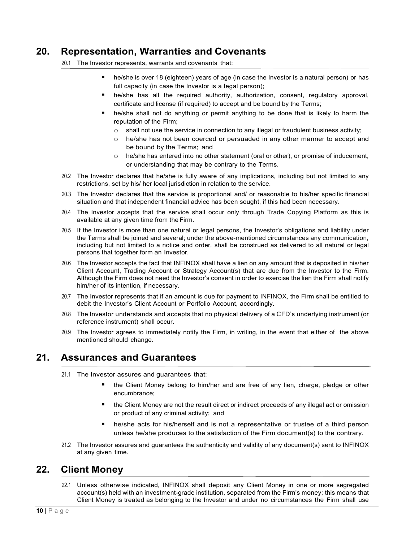#### <span id="page-9-0"></span>**20. Representation, Warranties and Covenants**

20.1 The Investor represents, warrants and covenants that:

- he/she is over 18 (eighteen) years of age (in case the Investor is a natural person) or has full capacity (in case the Investor is a legal person);
- he/she has all the required authority, authorization, consent, regulatory approval, certificate and license (if required) to accept and be bound by the Terms;
- he/she shall not do anything or permit anything to be done that is likely to harm the reputation of the Firm;
	- $\circ$  shall not use the service in connection to any illegal or fraudulent business activity;
	- o he/she has not been coerced or persuaded in any other manner to accept and be bound by the Terms; and
	- o he/she has entered into no other statement (oral or other), or promise of inducement, or understanding that may be contrary to the Terms.
- 20.2 The Investor declares that he/she is fully aware of any implications, including but not limited to any restrictions, set by his/ her local jurisdiction in relation to the service.
- 20.3 The Investor declares that the service is proportional and/ or reasonable to his/her specific financial situation and that independent financial advice has been sought, if this had been necessary.
- 20.4 The Investor accepts that the service shall occur only through Trade Copying Platform as this is available at any given time from the Firm.
- 20.5 If the Investor is more than one natural or legal persons, the Investor's obligations and liability under the Terms shall be joined and several; under the above-mentioned circumstances any communication, including but not limited to a notice and order, shall be construed as delivered to all natural or legal persons that together form an Investor.
- 20.6 The Investor accepts the fact that INFINOX shall have a lien on any amount that is deposited in his/her Client Account, Trading Account or Strategy Account(s) that are due from the Investor to the Firm. Although the Firm does not need the Investor's consent in order to exercise the lien the Firm shall notify him/her of its intention, if necessary.
- 20.7 The Investor represents that if an amount is due for payment to INFINOX, the Firm shall be entitled to debit the Investor's Client Account or Portfolio Account, accordingly.
- 20.8 The Investor understands and accepts that no physical delivery of a CFD's underlying instrument (or reference instrument) shall occur.
- 20.9 The Investor agrees to immediately notify the Firm, in writing, in the event that either of the above mentioned should change.

#### <span id="page-9-1"></span>**21. Assurances and Guarantees**

- 21.1 The Investor assures and guarantees that:
	- the Client Money belong to him/her and are free of any lien, charge, pledge or other encumbrance;
	- the Client Money are not the result direct or indirect proceeds of any illegal act or omission or product of any criminal activity; and
	- he/she acts for his/herself and is not a representative or trustee of a third person unless he/she produces to the satisfaction of the Firm document(s) to the contrary.
- 21.2 The Investor assures and guarantees the authenticity and validity of any document(s) sent to INFINOX at any given time.

#### <span id="page-9-2"></span>**22. Client Money**

22.1 Unless otherwise indicated, INFINOX shall deposit any Client Money in one or more segregated account(s) held with an investment-grade institution, separated from the Firm's money; this means that Client Money is treated as belonging to the Investor and under no circumstances the Firm shall use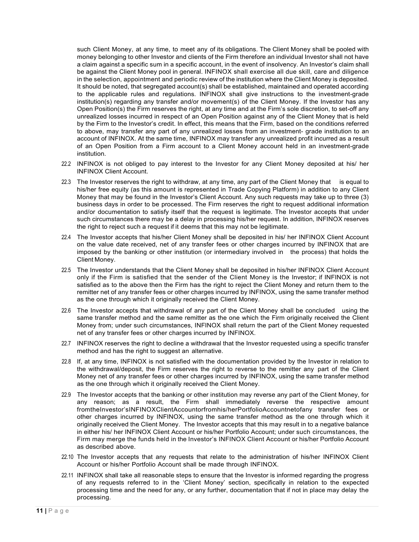such Client Money, at any time, to meet any of its obligations. The Client Money shall be pooled with money belonging to other Investor and clients of the Firm therefore an individual Investor shall not have a claim against a specific sum in a specific account, in the event of insolvency. An Investor's claim shall be against the Client Money pool in general. INFINOX shall exercise all due skill, care and diligence in the selection, appointment and periodic review of the institution where the Client Money is deposited. It should be noted, that segregated account(s) shall be established, maintained and operated according to the applicable rules and regulations. INFINOX shall give instructions to the investment-grade institution(s) regarding any transfer and/or movement(s) of the Client Money. If the Investor has any Open Position(s) the Firm reserves the right, at any time and at the Firm's sole discretion, to set-off any unrealized losses incurred in respect of an Open Position against any of the Client Money that is held by the Firm to the Investor's credit. In effect, this means that the Firm, based on the conditions referred to above, may transfer any part of any unrealized losses from an investment- grade institution to an account of INFINOX. At the same time, INFINOX may transfer any unrealized profit incurred as a result of an Open Position from a Firm account to a Client Money account held in an investment-grade institution.

- 22.2 INFINOX is not obliged to pay interest to the Investor for any Client Money deposited at his/ her INFINOX Client Account.
- 22.3 The Investor reserves the right to withdraw, at any time, any part of the Client Money that is equal to his/her free equity (as this amount is represented in Trade Copying Platform) in addition to any Client Money that may be found in the Investor's Client Account. Any such requests may take up to three (3) business days in order to be processed. The Firm reserves the right to request additional information and/or documentation to satisfy itself that the request is legitimate. The Investor accepts that under such circumstances there may be a delay in processing his/her request. In addition, INFINOX reserves the right to reject such a request if it deems that this may not be legitimate.
- 22.4 The Investor accepts that his/her Client Money shall be deposited in his/ her INFINOX Client Account on the value date received, net of any transfer fees or other charges incurred by INFINOX that are imposed by the banking or other institution (or intermediary involved in the process) that holds the Client Money.
- 22.5 The Investor understands that the Client Money shall be deposited in his/her INFINOX Client Account only if the Firm is satisfied that the sender of the Client Money is the Investor; if INFINOX is not satisfied as to the above then the Firm has the right to reject the Client Money and return them to the remitter net of any transfer fees or other charges incurred by INFINOX, using the same transfer method as the one through which it originally received the Client Money.
- 22.6 The Investor accepts that withdrawal of any part of the Client Money shall be concluded using the same transfer method and the same remitter as the one which the Firm originally received the Client Money from; under such circumstances, INFINOX shall return the part of the Client Money requested net of any transfer fees or other charges incurred by INFINOX.
- 22.7 INFINOX reserves the right to decline a withdrawal that the Investor requested using a specific transfer method and has the right to suggest an alternative.
- 22.8 If, at any time, INFINOX is not satisfied with the documentation provided by the Investor in relation to the withdrawal/deposit, the Firm reserves the right to reverse to the remitter any part of the Client Money net of any transfer fees or other charges incurred by INFINOX, using the same transfer method as the one through which it originally received the Client Money.
- 22.9 The Investor accepts that the banking or other institution may reverse any part of the Client Money, for any reason; as a result, the Firm shall immediately reverse the respective amount fromtheInvestor'sINFINOXClientAccountorfromhis/herPortfolioAccountnetofany transfer fees or other charges incurred by INFINOX, using the same transfer method as the one through which it originally received the Client Money. The Investor accepts that this may result in to a negative balance in either his/ her INFINOX Client Account or his/her Portfolio Account; under such circumstances, the Firm may merge the funds held in the Investor's INFINOX Client Account or his/her Portfolio Account as described above.
- 22.10 The Investor accepts that any requests that relate to the administration of his/her INFINOX Client Account or his/her Portfolio Account shall be made through INFINOX.
- 22.11 INFINOX shall take all reasonable steps to ensure that the Investor is informed regarding the progress of any requests referred to in the 'Client Money' section, specifically in relation to the expected processing time and the need for any, or any further, documentation that if not in place may delay the processing.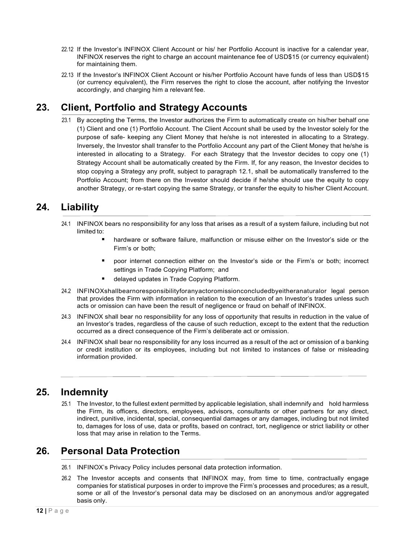- 22.12 If the Investor's INFINOX Client Account or his/ her Portfolio Account is inactive for a calendar year, INFINOX reserves the right to charge an account maintenance fee of USD\$15 (or currency equivalent) for maintaining them.
- 22.13 If the Investor's INFINOX Client Account or his/her Portfolio Account have funds of less than USD\$15 (or currency equivalent), the Firm reserves the right to close the account, after notifying the Investor accordingly, and charging him a relevant fee.

# <span id="page-11-0"></span>**23. Client, Portfolio and Strategy Accounts**

23.1 By accepting the Terms, the Investor authorizes the Firm to automatically create on his/her behalf one (1) Client and one (1) Portfolio Account. The Client Account shall be used by the Investor solely for the purpose of safe- keeping any Client Money that he/she is not interested in allocating to a Strategy. Inversely, the Investor shall transfer to the Portfolio Account any part of the Client Money that he/she is interested in allocating to a Strategy. For each Strategy that the Investor decides to copy one (1) Strategy Account shall be automatically created by the Firm. If, for any reason, the Investor decides to stop copying a Strategy any profit, subject to paragraph 12.1, shall be automatically transferred to the Portfolio Account; from there on the Investor should decide if he/she should use the equity to copy another Strategy, or re-start copying the same Strategy, or transfer the equity to his/her Client Account.

### <span id="page-11-1"></span>**24. Liability**

- 24.1 INFINOX bears no responsibility for any loss that arises as a result of a system failure, including but not limited to:
	- hardware or software failure, malfunction or misuse either on the Investor's side or the Firm's or both;
	- poor internet connection either on the Investor's side or the Firm's or both; incorrect settings in Trade Copying Platform; and
	- delayed updates in Trade Copying Platform.
- 24.2 INFINOXshallbearnoresponsibilityforanyactoromissionconcludedbyeitheranaturalor legal person that provides the Firm with information in relation to the execution of an Investor's trades unless such acts or omission can have been the result of negligence or fraud on behalf of INFINOX.
- 24.3 INFINOX shall bear no responsibility for any loss of opportunity that results in reduction in the value of an Investor's trades, regardless of the cause of such reduction, except to the extent that the reduction occurred as a direct consequence of the Firm's deliberate act or omission.
- 24.4 INFINOX shall bear no responsibility for any loss incurred as a result of the act or omission of a banking or credit institution or its employees, including but not limited to instances of false or misleading information provided.

#### <span id="page-11-2"></span>**25. Indemnity**

25.1 The Investor, to the fullest extent permitted by applicable legislation, shall indemnify and hold harmless the Firm, its officers, directors, employees, advisors, consultants or other partners for any direct, indirect, punitive, incidental, special, consequential damages or any damages, including but not limited to, damages for loss of use, data or profits, based on contract, tort, negligence or strict liability or other loss that may arise in relation to the Terms.

#### <span id="page-11-3"></span>**26. Personal Data Protection**

- 26.1 INFINOX's Privacy Policy includes personal data protection information.
- 26.2 The Investor accepts and consents that INFINOX may, from time to time, contractually engage companies for statistical purposes in order to improve the Firm's processes and procedures; as a result, some or all of the Investor's personal data may be disclosed on an anonymous and/or aggregated basis only.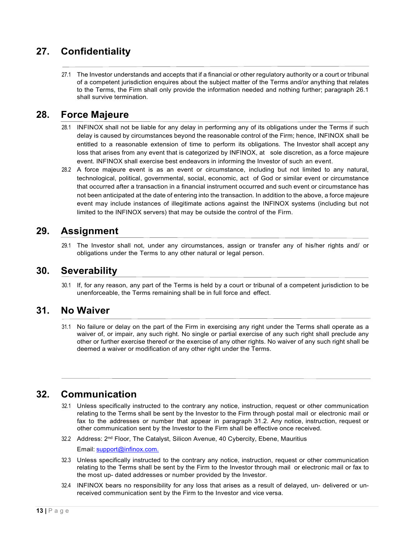# <span id="page-12-0"></span>**27. Confidentiality**

27.1 The Investor understands and accepts that if a financial or other regulatory authority or a court or tribunal of a competent jurisdiction enquires about the subject matter of the Terms and/or anything that relates to the Terms, the Firm shall only provide the information needed and nothing further; paragraph 26.1 shall survive termination.

#### <span id="page-12-1"></span>**28. Force Majeure**

- 28.1 INFINOX shall not be liable for any delay in performing any of its obligations under the Terms if such delay is caused by circumstances beyond the reasonable control of the Firm; hence, INFINOX shall be entitled to a reasonable extension of time to perform its obligations. The Investor shall accept any loss that arises from any event that is categorized by INFINOX, at sole discretion, as a force majeure event. INFINOX shall exercise best endeavors in informing the Investor of such an event.
- 28.2 A force majeure event is as an event or circumstance, including but not limited to any natural, technological, political, governmental, social, economic, act of God or similar event or circumstance that occurred after a transaction in a financial instrument occurred and such event or circumstance has not been anticipated at the date of entering into the transaction. In addition to the above, a force majeure event may include instances of illegitimate actions against the INFINOX systems (including but not limited to the INFINOX servers) that may be outside the control of the Firm.

#### <span id="page-12-2"></span>**29. Assignment**

29.1 The Investor shall not, under any circumstances, assign or transfer any of his/her rights and/ or obligations under the Terms to any other natural or legal person.

#### <span id="page-12-3"></span>**30. Severability**

30.1 If, for any reason, any part of the Terms is held by a court or tribunal of a competent jurisdiction to be unenforceable, the Terms remaining shall be in full force and effect.

#### <span id="page-12-4"></span>**31. No Waiver**

31.1 No failure or delay on the part of the Firm in exercising any right under the Terms shall operate as a waiver of, or impair, any such right. No single or partial exercise of any such right shall preclude any other or further exercise thereof or the exercise of any other rights. No waiver of any such right shall be deemed a waiver or modification of any other right under the Terms.

#### <span id="page-12-5"></span>**32. Communication**

- 32.1 Unless specifically instructed to the contrary any notice, instruction, request or other communication relating to the Terms shall be sent by the Investor to the Firm through postal mail or electronic mail or fax to the addresses or number that appear in paragraph 31.2. Any notice, instruction, request or other communication sent by the Investor to the Firm shall be effective once received.
- 32.2 Address: 2<sup>nd</sup> Floor, The Catalyst, Silicon Avenue, 40 Cybercity, Ebene, Mauritius

Email: [support@infinox.com.](mailto:support@infinox.com.)

- 32.3 Unless specifically instructed to the contrary any notice, instruction, request or other communication relating to the Terms shall be sent by the Firm to the Investor through mail or electronic mail or fax to the most up- dated addresses or number provided by the Investor.
- 32.4 INFINOX bears no responsibility for any loss that arises as a result of delayed, un- delivered or unreceived communication sent by the Firm to the Investor and vice versa.